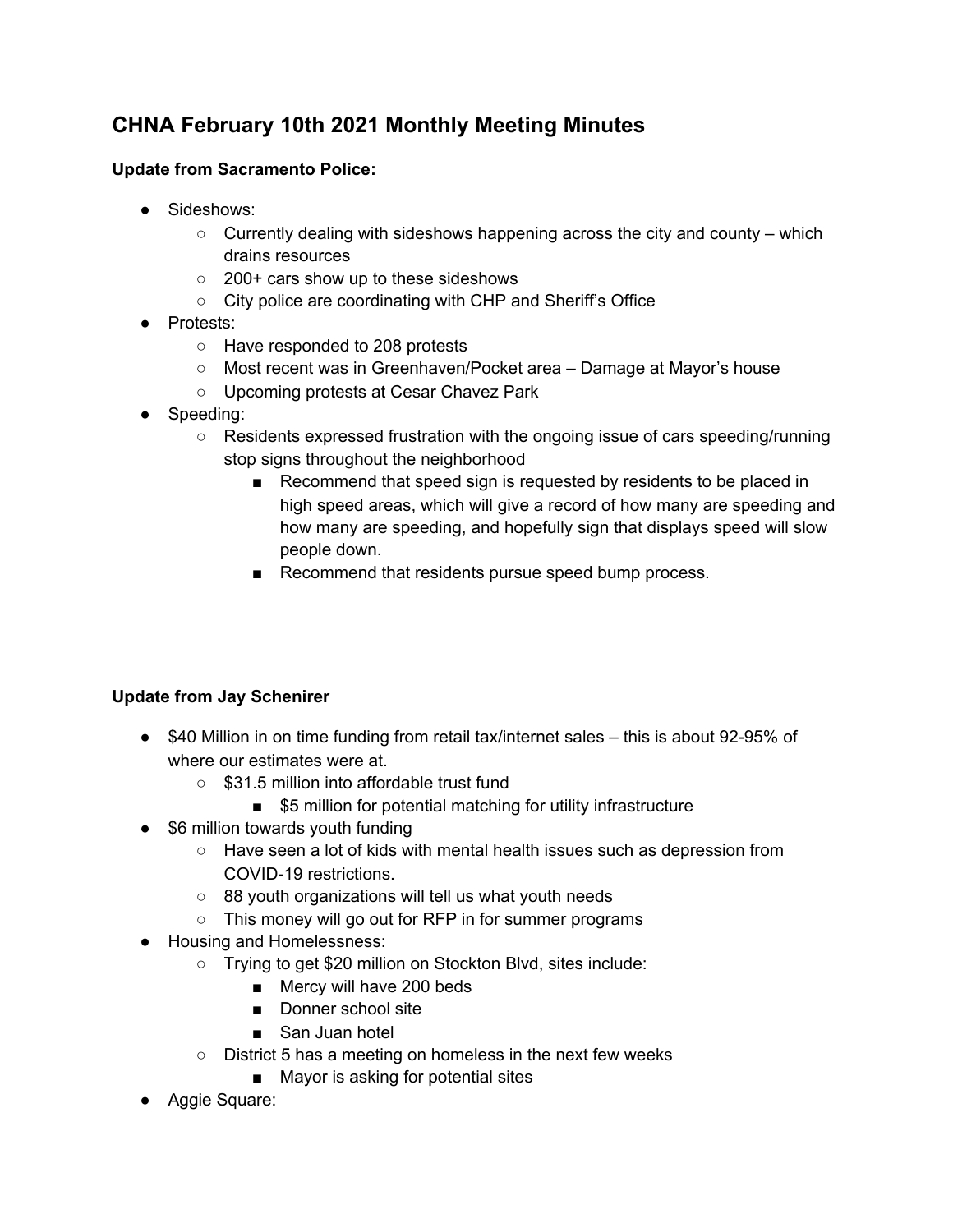# **CHNA February 10th 2021 Monthly Meeting Minutes**

#### **Update from Sacramento Police:**

- Sideshows:
	- $\circ$  Currently dealing with sideshows happening across the city and county which drains resources
	- 200+ cars show up to these sideshows
	- City police are coordinating with CHP and Sheriff's Office
- Protests:
	- Have responded to 208 protests
	- Most recent was in Greenhaven/Pocket area Damage at Mayor's house
	- Upcoming protests at Cesar Chavez Park
- Speeding:
	- Residents expressed frustration with the ongoing issue of cars speeding/running stop signs throughout the neighborhood
		- Recommend that speed sign is requested by residents to be placed in high speed areas, which will give a record of how many are speeding and how many are speeding, and hopefully sign that displays speed will slow people down.
		- Recommend that residents pursue speed bump process.

# **Update from Jay Schenirer**

- \$40 Million in on time funding from retail tax/internet sales this is about 92-95% of where our estimates were at.
	- \$31.5 million into affordable trust fund
		- \$5 million for potential matching for utility infrastructure
- \$6 million towards youth funding
	- $\circ$  Have seen a lot of kids with mental health issues such as depression from COVID-19 restrictions.
	- 88 youth organizations will tell us what youth needs
	- This money will go out for RFP in for summer programs
- Housing and Homelessness:
	- Trying to get \$20 million on Stockton Blvd, sites include:
		- Mercy will have 200 beds
		- Donner school site
		- San Juan hotel
	- District 5 has a meeting on homeless in the next few weeks
		- Mayor is asking for potential sites
- Aggie Square: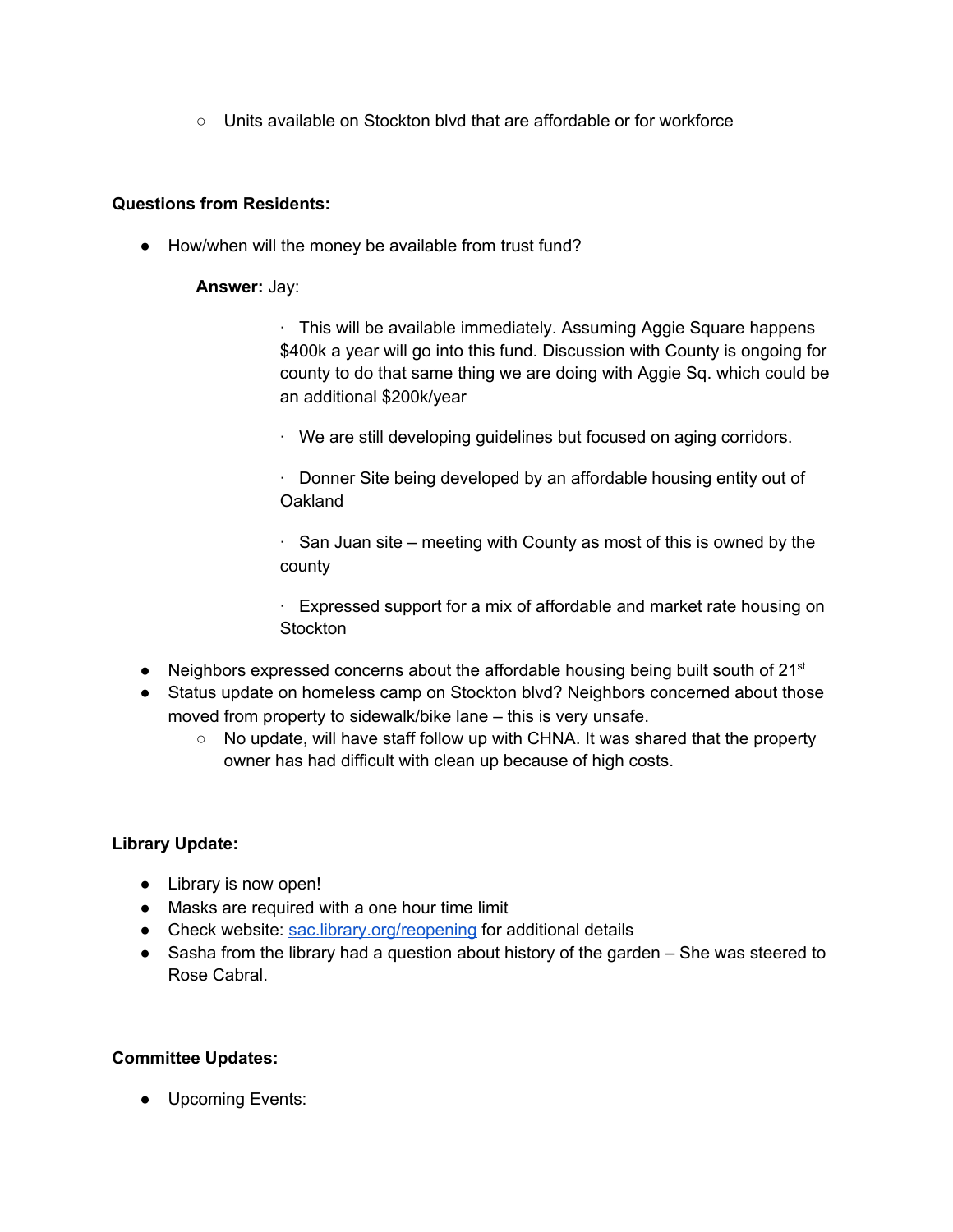○ Units available on Stockton blvd that are affordable or for workforce

#### **Questions from Residents:**

• How/when will the money be available from trust fund?

#### **Answer:** Jay:

 $\cdot$  This will be available immediately. Assuming Aggie Square happens \$400k a year will go into this fund. Discussion with County is ongoing for county to do that same thing we are doing with Aggie Sq. which could be an additional \$200k/year

· We are still developing guidelines but focused on aging corridors.

· Donner Site being developed by an affordable housing entity out of **Oakland** 

 $\cdot$  San Juan site – meeting with County as most of this is owned by the county

· Expressed support for a mix of affordable and market rate housing on **Stockton** 

- Neighbors expressed concerns about the affordable housing being built south of  $21<sup>st</sup>$
- Status update on homeless camp on Stockton blvd? Neighbors concerned about those moved from property to sidewalk/bike lane – this is very unsafe.
	- $\circ$  No update, will have staff follow up with CHNA. It was shared that the property owner has had difficult with clean up because of high costs.

# **Library Update:**

- Library is now open!
- Masks are required with a one hour time limit
- Check website[:](http://sac.library.org/reopening) [sac.library.org/reopening](http://sac.library.org/reopening) for additional details
- Sasha from the library had a question about history of the garden She was steered to Rose Cabral.

# **Committee Updates:**

● Upcoming Events: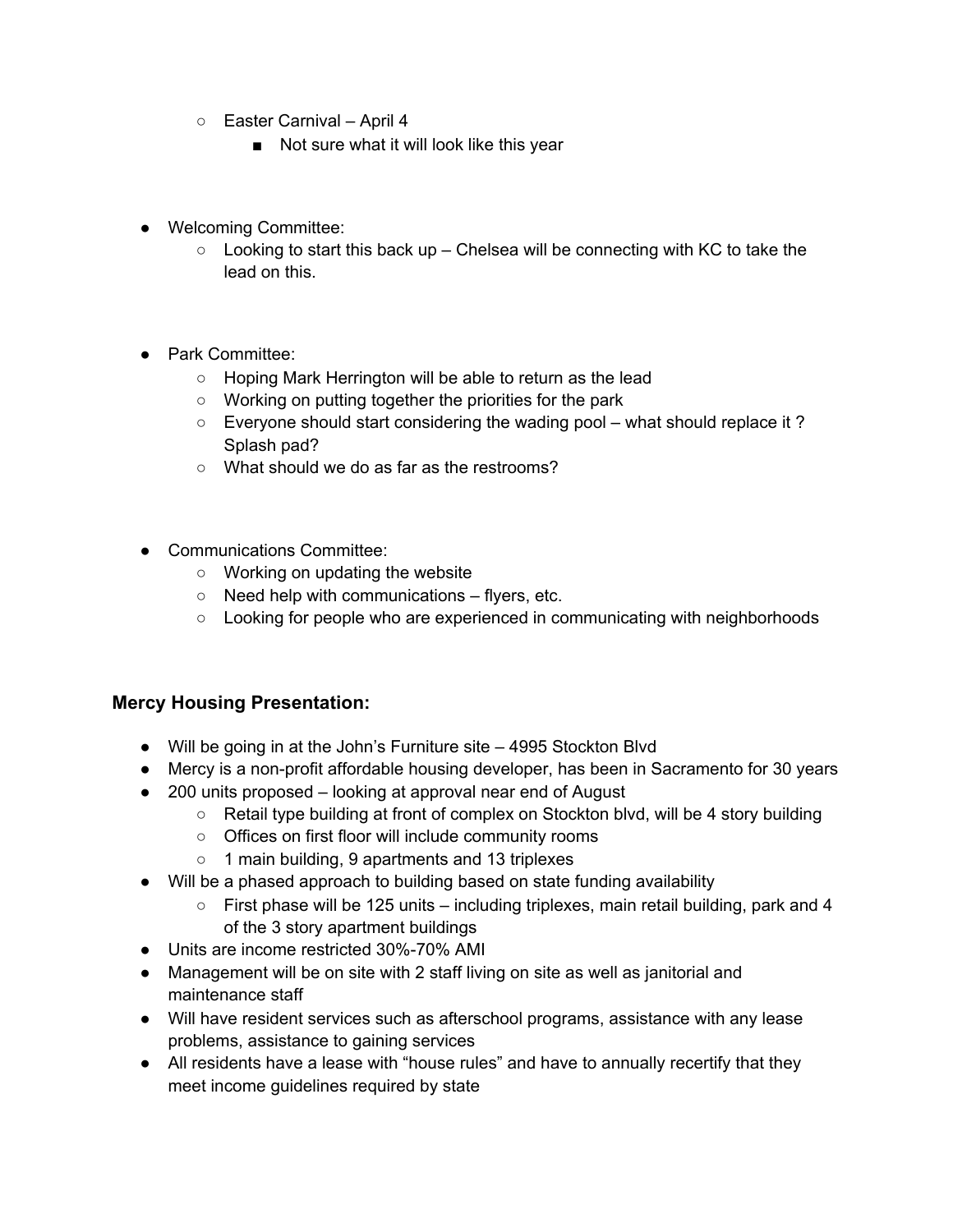- Easter Carnival April 4
	- Not sure what it will look like this year
- Welcoming Committee:
	- $\circ$  Looking to start this back up Chelsea will be connecting with KC to take the lead on this.
- Park Committee:
	- Hoping Mark Herrington will be able to return as the lead
	- Working on putting together the priorities for the park
	- $\circ$  Everyone should start considering the wading pool what should replace it? Splash pad?
	- What should we do as far as the restrooms?
- Communications Committee:
	- Working on updating the website
	- Need help with communications flyers, etc.
	- Looking for people who are experienced in communicating with neighborhoods

# **Mercy Housing Presentation:**

- Will be going in at the John's Furniture site 4995 Stockton Blvd
- Mercy is a non-profit affordable housing developer, has been in Sacramento for 30 years
- 200 units proposed looking at approval near end of August
	- $\circ$  Retail type building at front of complex on Stockton blvd, will be 4 story building
		- Offices on first floor will include community rooms
		- 1 main building, 9 apartments and 13 triplexes
- Will be a phased approach to building based on state funding availability
	- $\circ$  First phase will be 125 units including triplexes, main retail building, park and 4 of the 3 story apartment buildings
- Units are income restricted 30%-70% AMI
- Management will be on site with 2 staff living on site as well as janitorial and maintenance staff
- Will have resident services such as afterschool programs, assistance with any lease problems, assistance to gaining services
- All residents have a lease with "house rules" and have to annually recertify that they meet income guidelines required by state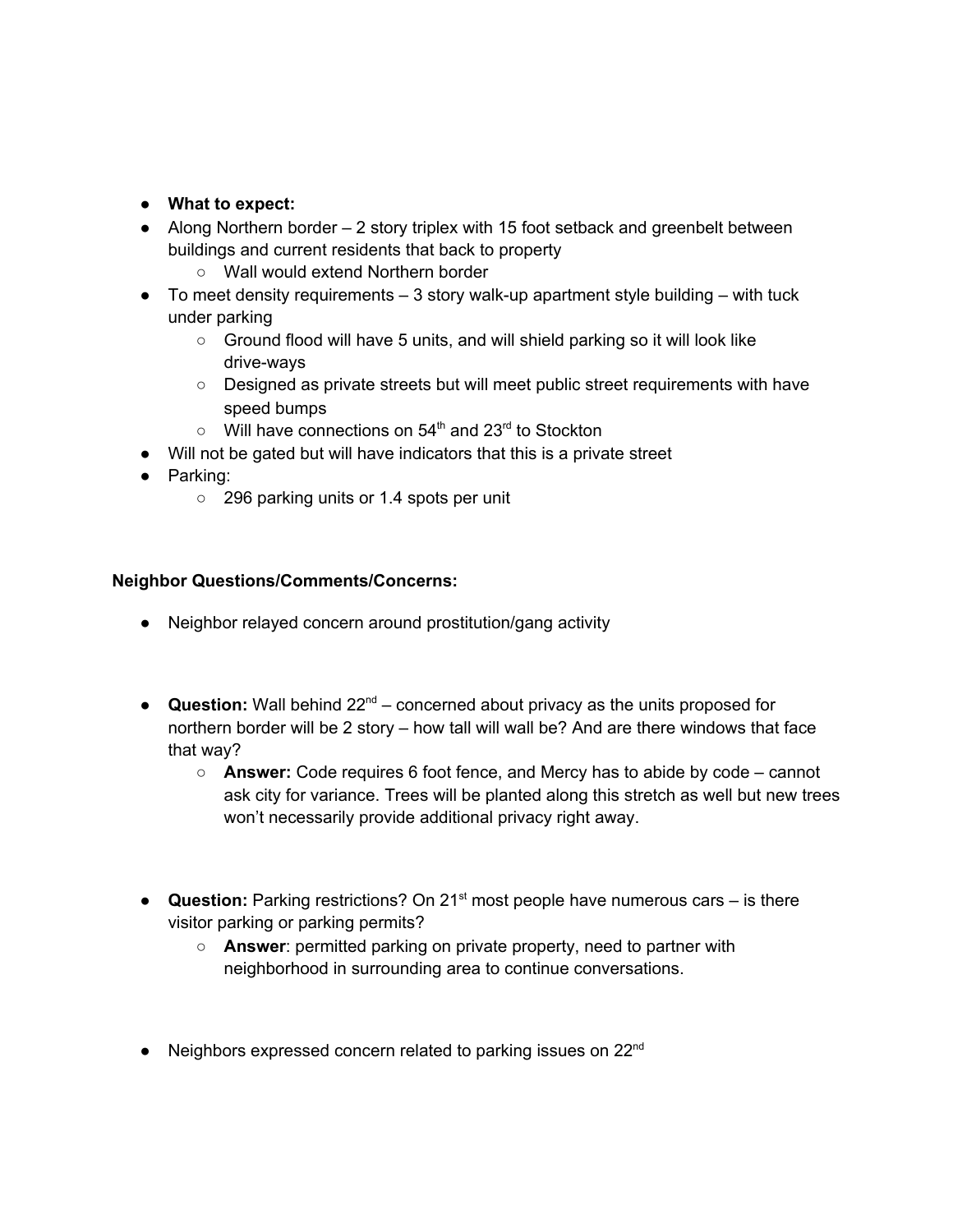# ● **What to expect:**

- Along Northern border 2 story triplex with 15 foot setback and greenbelt between buildings and current residents that back to property
	- Wall would extend Northern border
- $\bullet$  To meet density requirements  $-3$  story walk-up apartment style building  $-$  with tuck under parking
	- $\circ$  Ground flood will have 5 units, and will shield parking so it will look like drive-ways
	- Designed as private streets but will meet public street requirements with have speed bumps
	- $\circ$  Will have connections on 54<sup>th</sup> and 23<sup>rd</sup> to Stockton
- Will not be gated but will have indicators that this is a private street
- Parking:
	- 296 parking units or 1.4 spots per unit

# **Neighbor Questions/Comments/Concerns:**

- Neighbor relayed concern around prostitution/gang activity
- Question: Wall behind 22<sup>nd</sup> concerned about privacy as the units proposed for northern border will be 2 story – how tall will wall be? And are there windows that face that way?
	- **Answer:** Code requires 6 foot fence, and Mercy has to abide by code cannot ask city for variance. Trees will be planted along this stretch as well but new trees won't necessarily provide additional privacy right away.
- Question: Parking restrictions? On 21<sup>st</sup> most people have numerous cars is there visitor parking or parking permits?
	- **Answer**: permitted parking on private property, need to partner with neighborhood in surrounding area to continue conversations.
- Neighbors expressed concern related to parking issues on 22<sup>nd</sup>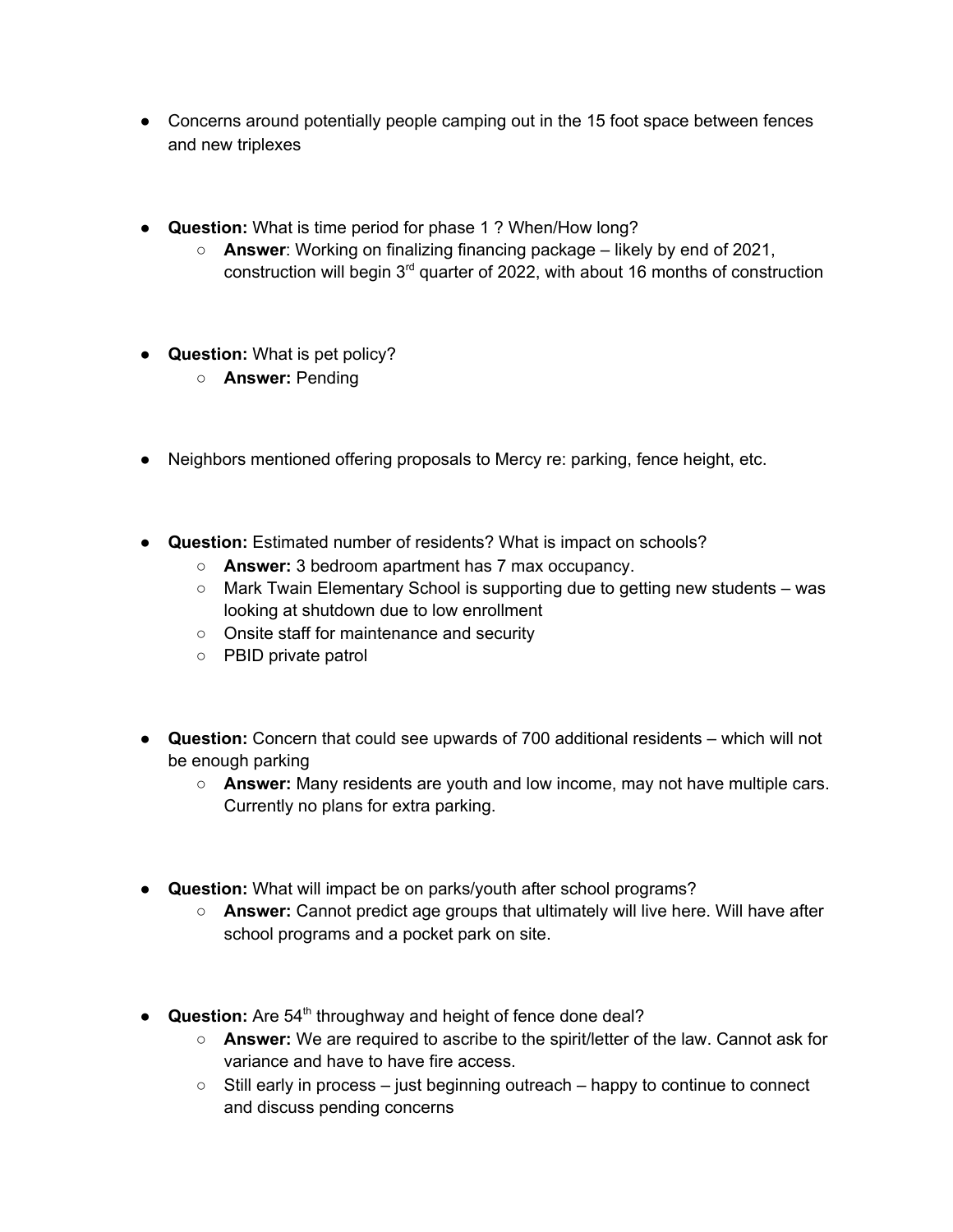- Concerns around potentially people camping out in the 15 foot space between fences and new triplexes
- **Question:** What is time period for phase 1 ? When/How long?
	- **Answer**: Working on finalizing financing package likely by end of 2021, construction will begin  $3<sup>rd</sup>$  quarter of 2022, with about 16 months of construction
- **Question:** What is pet policy?
	- **Answer:** Pending
- Neighbors mentioned offering proposals to Mercy re: parking, fence height, etc.
- **Question:** Estimated number of residents? What is impact on schools?
	- **Answer:** 3 bedroom apartment has 7 max occupancy.
	- Mark Twain Elementary School is supporting due to getting new students was looking at shutdown due to low enrollment
	- Onsite staff for maintenance and security
	- PBID private patrol
- **Question:** Concern that could see upwards of 700 additional residents which will not be enough parking
	- **Answer:** Many residents are youth and low income, may not have multiple cars. Currently no plans for extra parking.
- **Question:** What will impact be on parks/youth after school programs?
	- **Answer:** Cannot predict age groups that ultimately will live here. Will have after school programs and a pocket park on site.
- Question: Are 54<sup>th</sup> throughway and height of fence done deal?
	- **Answer:** We are required to ascribe to the spirit/letter of the law. Cannot ask for variance and have to have fire access.
	- $\circ$  Still early in process just beginning outreach happy to continue to connect and discuss pending concerns